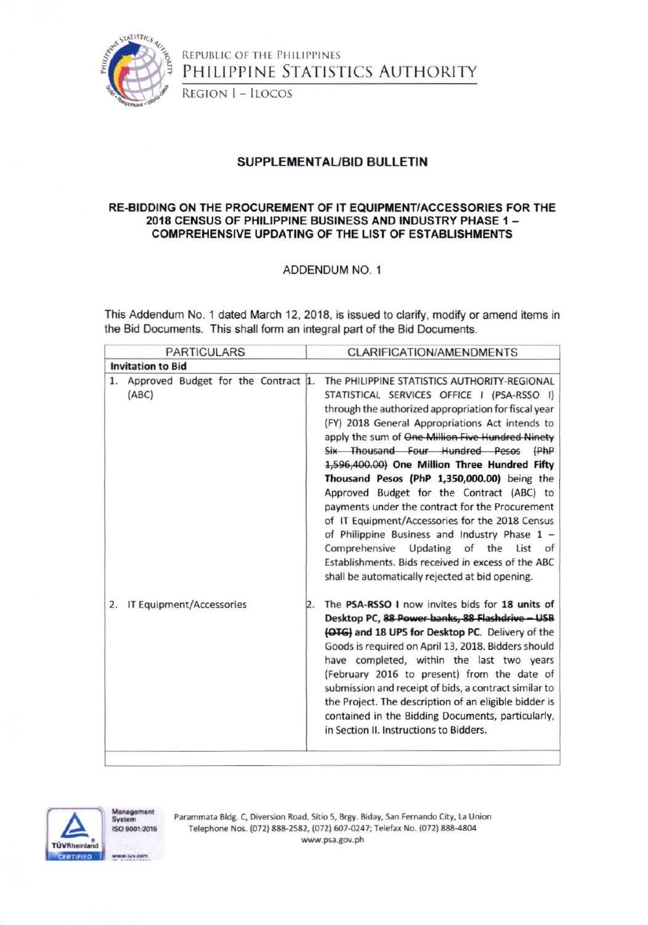

**REGION I - ILOCOS** 

#### SUPPLEMENTAL/BID BULLETIN

#### RE-BIDDING ON THE PROCUREMENT OF IT EQUIPMENT/ACCESSORIES FOR THE 2018 CENSUS OF PHILIPPINE BUSINESS AND INDUSTRY PHASE 1-**COMPREHENSIVE UPDATING OF THE LIST OF ESTABLISHMENTS**

#### ADDENDUM NO. 1

This Addendum No. 1 dated March 12, 2018, is issued to clarify, modify or amend items in the Bid Documents. This shall form an integral part of the Bid Documents.

| <b>PARTICULARS</b>                                 | <b>CLARIFICATION/AMENDMENTS</b>                                                                                                                                                                                                                                                                                                                                                                                                                                                                                                                                                                                                                                                                                                                                |  |  |  |  |  |  |  |
|----------------------------------------------------|----------------------------------------------------------------------------------------------------------------------------------------------------------------------------------------------------------------------------------------------------------------------------------------------------------------------------------------------------------------------------------------------------------------------------------------------------------------------------------------------------------------------------------------------------------------------------------------------------------------------------------------------------------------------------------------------------------------------------------------------------------------|--|--|--|--|--|--|--|
| <b>Invitation to Bid</b>                           |                                                                                                                                                                                                                                                                                                                                                                                                                                                                                                                                                                                                                                                                                                                                                                |  |  |  |  |  |  |  |
| Approved Budget for the Contract 1.<br>1.<br>(ABC) | The PHILIPPINE STATISTICS AUTHORITY-REGIONAL<br>STATISTICAL SERVICES OFFICE I (PSA-RSSO I)<br>through the authorized appropriation for fiscal year<br>(FY) 2018 General Appropriations Act intends to<br>apply the sum of One Million Five Hundred Ninety<br>Six Thousand Four Hundred Pesos (PhP<br>1,596,400.00) One Million Three Hundred Fifty<br>Thousand Pesos (PhP 1,350,000.00) being the<br>Approved Budget for the Contract (ABC) to<br>payments under the contract for the Procurement<br>of IT Equipment/Accessories for the 2018 Census<br>of Philippine Business and Industry Phase $1 -$<br>Comprehensive Updating of the List<br>of I<br>Establishments. Bids received in excess of the ABC<br>shall be automatically rejected at bid opening. |  |  |  |  |  |  |  |
| IT Equipment/Accessories<br>2.                     | The PSA-RSSO I now invites bids for 18 units of<br>2.<br>Desktop PC, 88 Power banks, 88 Flashdrive - USB<br>(OTG) and 18 UPS for Desktop PC. Delivery of the<br>Goods is required on April 13, 2018. Bidders should<br>have completed, within the last two years<br>(February 2016 to present) from the date of<br>submission and receipt of bids, a contract similar to<br>the Project. The description of an eligible bidder is<br>contained in the Bidding Documents, particularly,<br>in Section II. Instructions to Bidders.                                                                                                                                                                                                                              |  |  |  |  |  |  |  |



fanagement System ISO 9001-2015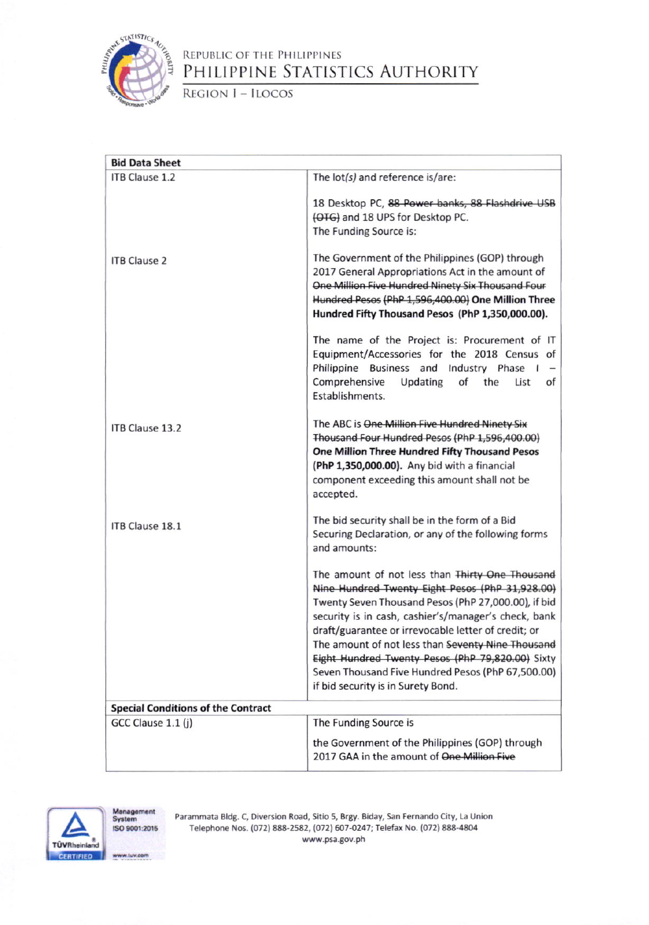

REGION I - ILOCOS

| <b>Bid Data Sheet</b>                     |                                                                                                                                                                                                                                                                                                                                                                                                                                                                              |  |  |  |
|-------------------------------------------|------------------------------------------------------------------------------------------------------------------------------------------------------------------------------------------------------------------------------------------------------------------------------------------------------------------------------------------------------------------------------------------------------------------------------------------------------------------------------|--|--|--|
| ITB Clause 1.2                            | The lot(s) and reference is/are:                                                                                                                                                                                                                                                                                                                                                                                                                                             |  |  |  |
|                                           | 18 Desktop PC, 88 Power banks, 88 Flashdrive USB<br>(OTG) and 18 UPS for Desktop PC.<br>The Funding Source is:                                                                                                                                                                                                                                                                                                                                                               |  |  |  |
| <b>ITB Clause 2</b>                       | The Government of the Philippines (GOP) through<br>2017 General Appropriations Act in the amount of<br>One Million Five Hundred Ninety Six Thousand Four<br>Hundred Pesos (PhP 1,596,400.00) One Million Three<br>Hundred Fifty Thousand Pesos (PhP 1,350,000.00).                                                                                                                                                                                                           |  |  |  |
|                                           | The name of the Project is: Procurement of IT<br>Equipment/Accessories for the 2018 Census of<br>Philippine Business and Industry Phase<br>Comprehensive<br>Updating<br>of<br>the<br>List<br>of<br>Establishments.                                                                                                                                                                                                                                                           |  |  |  |
| ITB Clause 13.2                           | The ABC is One Million Five Hundred Ninety Six<br>Thousand Four Hundred Pesos (PhP 1,596,400.00)<br>One Million Three Hundred Fifty Thousand Pesos<br>(PhP 1,350,000.00). Any bid with a financial<br>component exceeding this amount shall not be<br>accepted.                                                                                                                                                                                                              |  |  |  |
| ITB Clause 18.1                           | The bid security shall be in the form of a Bid<br>Securing Declaration, or any of the following forms<br>and amounts:                                                                                                                                                                                                                                                                                                                                                        |  |  |  |
|                                           | The amount of not less than Thirty One Thousand<br>Nine Hundred Twenty Eight Pesos (PhP 31,928.00)<br>Twenty Seven Thousand Pesos (PhP 27,000.00), if bid<br>security is in cash, cashier's/manager's check, bank<br>draft/guarantee or irrevocable letter of credit; or<br>The amount of not less than Seventy Nine Thousand<br>Eight Hundred Twenty Pesos (PhP 79,820.00) Sixty<br>Seven Thousand Five Hundred Pesos (PhP 67,500.00)<br>if bid security is in Surety Bond. |  |  |  |
| <b>Special Conditions of the Contract</b> |                                                                                                                                                                                                                                                                                                                                                                                                                                                                              |  |  |  |
| GCC Clause 1.1 (j)                        | The Funding Source is<br>the Government of the Philippines (GOP) through<br>2017 GAA in the amount of One Million Five                                                                                                                                                                                                                                                                                                                                                       |  |  |  |



Management<br>System ISO 9001:2015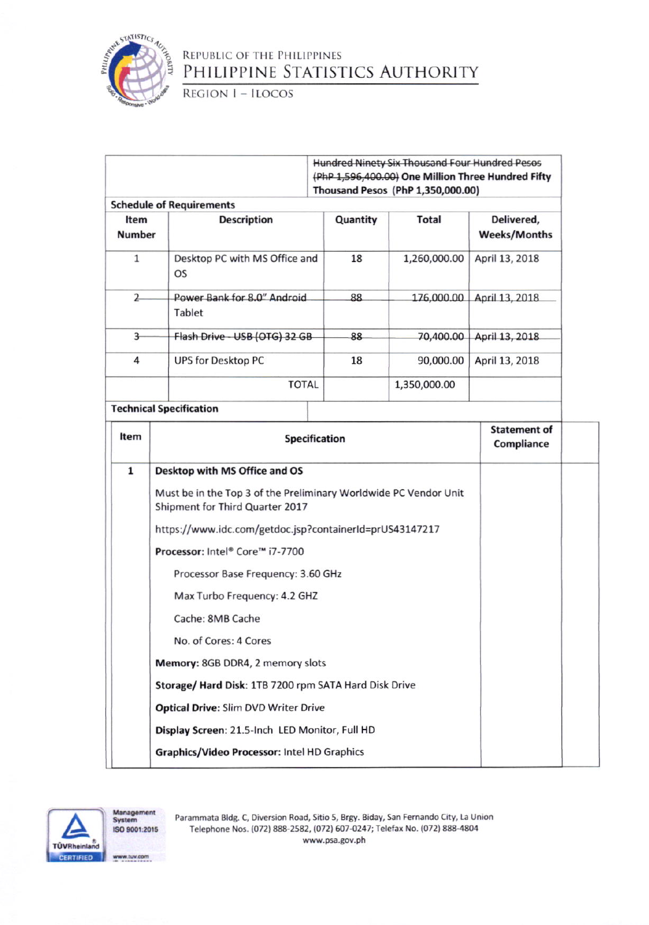

REGION I - ILOCOS

|                                                                                | <b>Hundred Ninety Six Thousand Four Hundred Pesos</b>                                               |                                    |                                   |                                   |  |  |  |
|--------------------------------------------------------------------------------|-----------------------------------------------------------------------------------------------------|------------------------------------|-----------------------------------|-----------------------------------|--|--|--|
|                                                                                | (PhP 1,596,400.00) One Million Three Hundred Fifty                                                  |                                    |                                   |                                   |  |  |  |
|                                                                                |                                                                                                     |                                    | Thousand Pesos (PhP 1,350,000.00) |                                   |  |  |  |
| <b>Schedule of Requirements</b><br><b>Description</b><br>Item<br><b>Number</b> |                                                                                                     | Quantity                           | <b>Total</b>                      | Delivered,<br><b>Weeks/Months</b> |  |  |  |
| $\mathbf{1}$                                                                   | Desktop PC with MS Office and<br>OS                                                                 |                                    | 1,260,000.00                      | April 13, 2018                    |  |  |  |
| $\overline{2}$<br>Power Bank for 8.0" Android<br>Tablet                        |                                                                                                     | 88                                 |                                   | 176,000.00 April 13, 2018         |  |  |  |
| $\overline{3}$                                                                 | Flash Drive - USB (OTG) 32 GB                                                                       | 70,400.00<br>88                    |                                   | April 13, 2018                    |  |  |  |
| 4                                                                              | <b>UPS for Desktop PC</b>                                                                           | 18                                 | 90,000.00                         | April 13, 2018                    |  |  |  |
| <b>TOTAL</b>                                                                   |                                                                                                     |                                    | 1,350,000.00                      |                                   |  |  |  |
|                                                                                | <b>Technical Specification</b>                                                                      |                                    |                                   |                                   |  |  |  |
| Item                                                                           | <b>Specification</b>                                                                                |                                    |                                   | <b>Statement of</b><br>Compliance |  |  |  |
| $\mathbf 1$                                                                    | Desktop with MS Office and OS                                                                       |                                    |                                   |                                   |  |  |  |
|                                                                                | Must be in the Top 3 of the Preliminary Worldwide PC Vendor Unit<br>Shipment for Third Quarter 2017 |                                    |                                   |                                   |  |  |  |
|                                                                                | https://www.idc.com/getdoc.jsp?containerId=prUS43147217                                             |                                    |                                   |                                   |  |  |  |
|                                                                                | Processor: Intel® Core™ i7-7700                                                                     |                                    |                                   |                                   |  |  |  |
|                                                                                |                                                                                                     | Processor Base Frequency: 3.60 GHz |                                   |                                   |  |  |  |
|                                                                                | Max Turbo Frequency: 4.2 GHZ                                                                        |                                    |                                   |                                   |  |  |  |
|                                                                                | Cache: 8MB Cache                                                                                    |                                    |                                   |                                   |  |  |  |
|                                                                                | No. of Cores: 4 Cores                                                                               |                                    |                                   |                                   |  |  |  |
|                                                                                | Memory: 8GB DDR4, 2 memory slots                                                                    |                                    |                                   |                                   |  |  |  |
|                                                                                | Storage/ Hard Disk: 1TB 7200 rpm SATA Hard Disk Drive                                               |                                    |                                   |                                   |  |  |  |
|                                                                                | <b>Optical Drive: Slim DVD Writer Drive</b>                                                         |                                    |                                   |                                   |  |  |  |
|                                                                                | Display Screen: 21.5-Inch LED Monitor, Full HD                                                      |                                    |                                   |                                   |  |  |  |
|                                                                                | Graphics/Video Processor: Intel HD Graphics                                                         |                                    |                                   |                                   |  |  |  |



Management<br>System ISO 9001:2015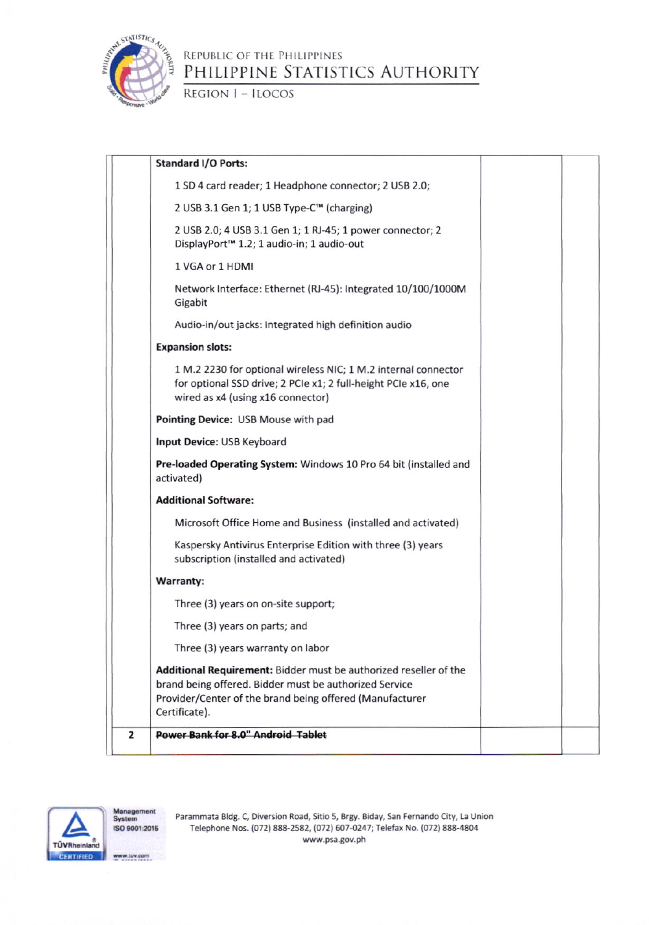

REGION I - ILOCOS

| <b>Standard I/O Ports:</b>                                                                                                                                                              |
|-----------------------------------------------------------------------------------------------------------------------------------------------------------------------------------------|
| 1 SD 4 card reader; 1 Headphone connector; 2 USB 2.0;                                                                                                                                   |
| 2 USB 3.1 Gen 1; 1 USB Type-C™ (charging)                                                                                                                                               |
| 2 USB 2.0; 4 USB 3.1 Gen 1; 1 RJ-45; 1 power connector; 2<br>DisplayPort <sup>™</sup> 1.2; 1 audio-in; 1 audio-out                                                                      |
| 1 VGA or 1 HDMI                                                                                                                                                                         |
| Network Interface: Ethernet (RJ-45): Integrated 10/100/1000M<br>Gigabit                                                                                                                 |
| Audio-in/out jacks: Integrated high definition audio                                                                                                                                    |
| <b>Expansion slots:</b>                                                                                                                                                                 |
| 1 M.2 2230 for optional wireless NIC; 1 M.2 internal connector<br>for optional SSD drive; 2 PCIe x1; 2 full-height PCIe x16, one<br>wired as x4 (using x16 connector)                   |
| Pointing Device: USB Mouse with pad                                                                                                                                                     |
| Input Device: USB Keyboard                                                                                                                                                              |
| Pre-loaded Operating System: Windows 10 Pro 64 bit (installed and<br>activated)                                                                                                         |
| <b>Additional Software:</b>                                                                                                                                                             |
| Microsoft Office Home and Business (installed and activated)                                                                                                                            |
| Kaspersky Antivirus Enterprise Edition with three (3) years<br>subscription (installed and activated)                                                                                   |
| Warranty:                                                                                                                                                                               |
| Three (3) years on on-site support;                                                                                                                                                     |
| Three (3) years on parts; and                                                                                                                                                           |
| Three (3) years warranty on labor                                                                                                                                                       |
| Additional Requirement: Bidder must be authorized reseller of the<br>brand being offered. Bidder must be authorized Service<br>Provider/Center of the brand being offered (Manufacturer |
| Certificate).                                                                                                                                                                           |



Management<br>System ISO 9001:2015